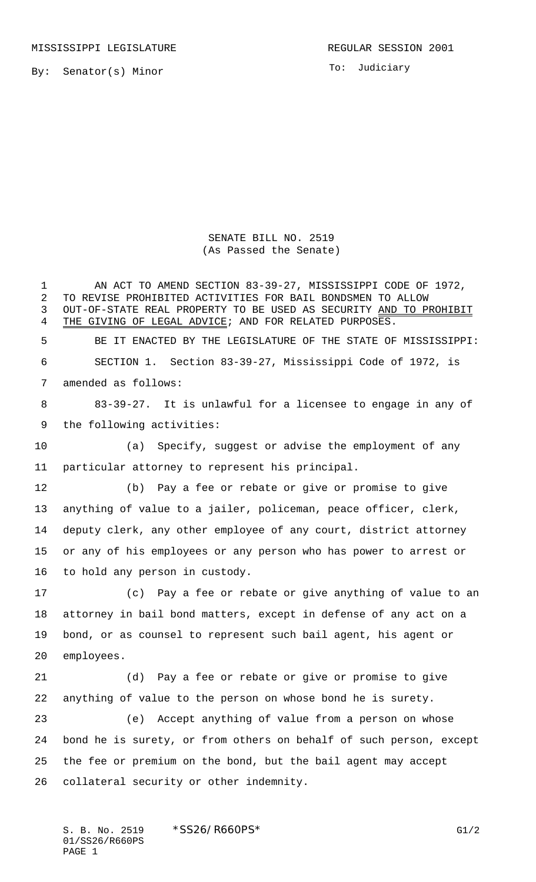MISSISSIPPI LEGISLATURE **REGULAR SESSION 2001** 

By: Senator(s) Minor

To: Judiciary

SENATE BILL NO. 2519 (As Passed the Senate)

 AN ACT TO AMEND SECTION 83-39-27, MISSISSIPPI CODE OF 1972, TO REVISE PROHIBITED ACTIVITIES FOR BAIL BONDSMEN TO ALLOW OUT-OF-STATE REAL PROPERTY TO BE USED AS SECURITY AND TO PROHIBIT 4 THE GIVING OF LEGAL ADVICE; AND FOR RELATED PURPOSES. BE IT ENACTED BY THE LEGISLATURE OF THE STATE OF MISSISSIPPI: SECTION 1. Section 83-39-27, Mississippi Code of 1972, is amended as follows: 83-39-27. It is unlawful for a licensee to engage in any of the following activities: (a) Specify, suggest or advise the employment of any particular attorney to represent his principal. (b) Pay a fee or rebate or give or promise to give anything of value to a jailer, policeman, peace officer, clerk, deputy clerk, any other employee of any court, district attorney or any of his employees or any person who has power to arrest or to hold any person in custody. (c) Pay a fee or rebate or give anything of value to an attorney in bail bond matters, except in defense of any act on a bond, or as counsel to represent such bail agent, his agent or employees. (d) Pay a fee or rebate or give or promise to give anything of value to the person on whose bond he is surety. (e) Accept anything of value from a person on whose bond he is surety, or from others on behalf of such person, except the fee or premium on the bond, but the bail agent may accept collateral security or other indemnity.

S. B. No. 2519 \* SS26/R660PS\* G1/2 01/SS26/R660PS PAGE 1